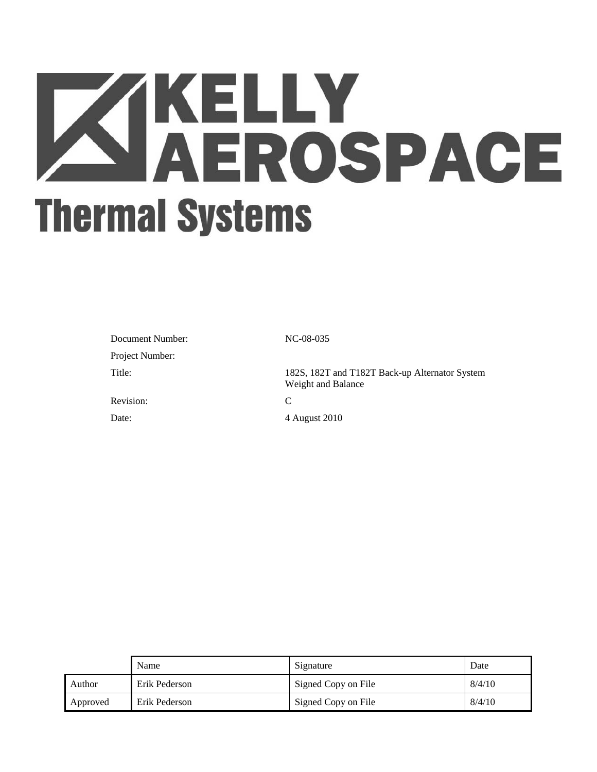# **XIKELLY<br>AEROSPACE Thermal Systems**

| Document Number: | N       |
|------------------|---------|
| Project Number:  |         |
| Title:           | 18<br>v |
| Revision:        |         |

NC-08-035

182S, 182T and T182T Back-up Alternator System Weight and Balance

Date: 4 August 2010

|          | Name          | Signature           | Date   |
|----------|---------------|---------------------|--------|
| Author   | Erik Pederson | Signed Copy on File | 8/4/10 |
| Approved | Erik Pederson | Signed Copy on File | 8/4/10 |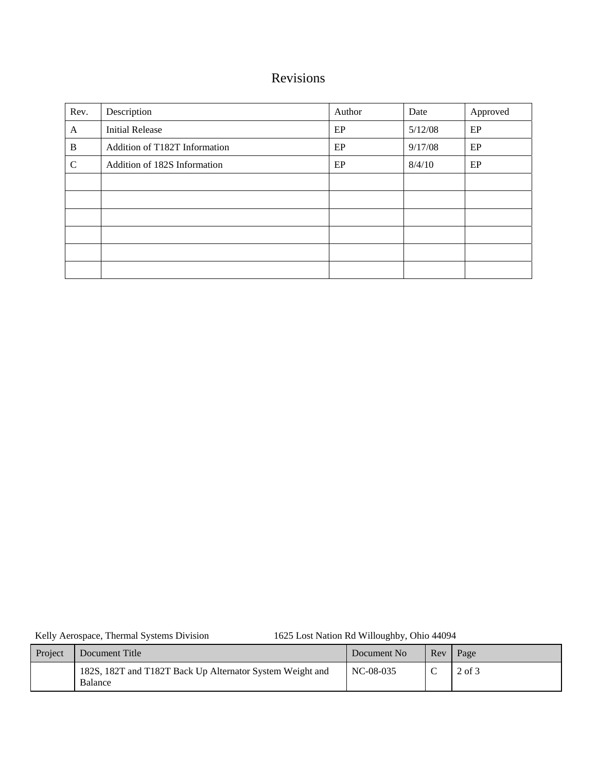# Revisions

| Rev.          | Description                   | Author | Date    | Approved |
|---------------|-------------------------------|--------|---------|----------|
| A             | <b>Initial Release</b>        | EP     | 5/12/08 | $\rm EP$ |
| B             | Addition of T182T Information | EP     | 9/17/08 | EP       |
| $\mathcal{C}$ | Addition of 182S Information  | EP     | 8/4/10  | EP       |
|               |                               |        |         |          |
|               |                               |        |         |          |
|               |                               |        |         |          |
|               |                               |        |         |          |
|               |                               |        |         |          |
|               |                               |        |         |          |

Kelly Aerospace, Thermal Systems Division 1625 Lost Nation Rd Willoughby, Ohio 44094

| Project | Document Title                                                       | Document No | Rev | Page       |
|---------|----------------------------------------------------------------------|-------------|-----|------------|
|         | 182S, 182T and T182T Back Up Alternator System Weight and<br>Balance | NC-08-035   |     | $2$ of $3$ |